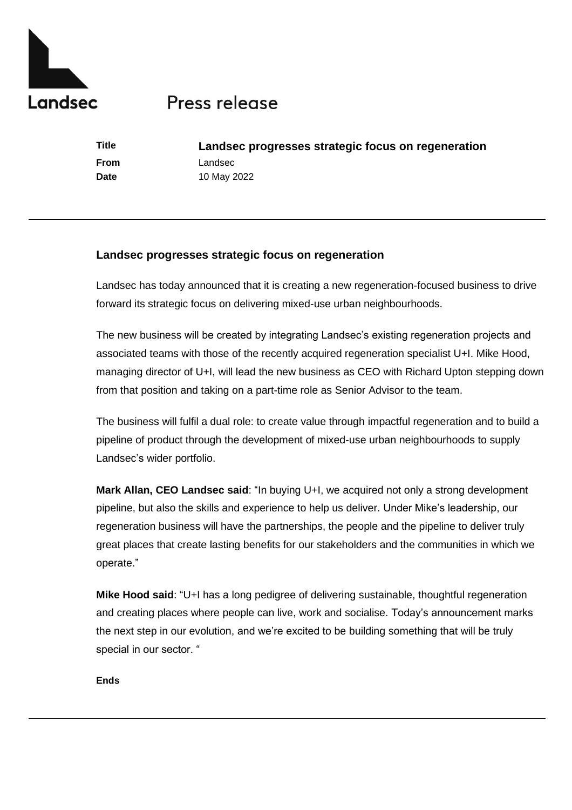

## Press release

**Title Landsec progresses strategic focus on regeneration From** Landsec **Date** 10 May 2022

## **Landsec progresses strategic focus on regeneration**

Landsec has today announced that it is creating a new regeneration-focused business to drive forward its strategic focus on delivering mixed-use urban neighbourhoods.

The new business will be created by integrating Landsec's existing regeneration projects and associated teams with those of the recently acquired regeneration specialist U+I. Mike Hood, managing director of U+I, will lead the new business as CEO with Richard Upton stepping down from that position and taking on a part-time role as Senior Advisor to the team.

The business will fulfil a dual role: to create value through impactful regeneration and to build a pipeline of product through the development of mixed-use urban neighbourhoods to supply Landsec's wider portfolio.

**Mark Allan, CEO Landsec said**: "In buying U+I, we acquired not only a strong development pipeline, but also the skills and experience to help us deliver. Under Mike's leadership, our regeneration business will have the partnerships, the people and the pipeline to deliver truly great places that create lasting benefits for our stakeholders and the communities in which we operate."

**Mike Hood said**: "U+I has a long pedigree of delivering sustainable, thoughtful regeneration and creating places where people can live, work and socialise. Today's announcement marks the next step in our evolution, and we're excited to be building something that will be truly special in our sector. "

**Ends**